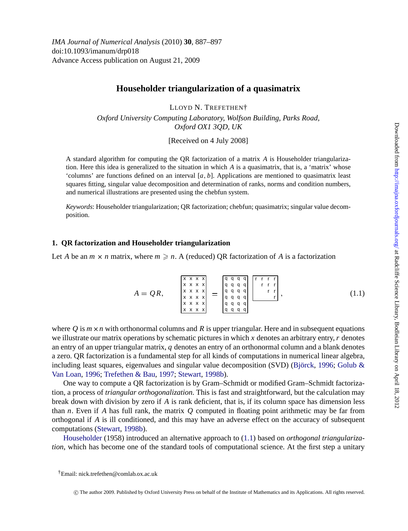# <span id="page-0-0"></span>**Householder triangularization of a quasimatrix**

LLOYD N. TREFETHEN†

*Oxford University Computing Laboratory, Wolfson Building, Parks Road, Oxford OX1 3QD, UK*

[Received on 4 July 2008]

A standard algorithm for computing the QR factorization of a matrix *A* is Householder triangularization. Here this idea is generalized to the situation in which *A* is a quasimatrix, that is, a 'matrix' whose 'columns' are functions defined on an interval [*a*, *b*]. Applications are mentioned to quasimatrix least squares fitting, singular value decomposition and determination of ranks, norms and condition numbers, and numerical illustrations are presented using the chebfun system.

*Keywords*: Householder triangularization; QR factorization; chebfun; quasimatrix; singular value decomposition.

## **1. QR factorization and Householder triangularization**

Let *A* be an  $m \times n$  matrix, where  $m \geq n$ . A (reduced) OR factorization of *A* is a factorization

*A* = *Q R*, x x x x x x x x x x x x x x x x x x x x x x x x q q q q q q q q q q q q q q q q q q q q q q q q r r r r r r r r r <sup>r</sup> , (1.1)

where  $Q$  is  $m \times n$  with orthonormal columns and  $R$  is upper triangular. Here and in subsequent equations we illustrate our matrix operations by schematic pictures in which *x* denotes an arbitrary entry,*r* denotes an entry of an upper triangular matrix, *q* denotes an entry of an orthonormal column and a blank denotes a zero. QR factorization is a fundamental step for all kinds of computations in numerical linear algebra, including least squares, eigenvalues and singular value decomposition (SVD) (Björck, [1996;](#page-10-0) Golub  $\&$ [Van Loan,](#page-10-0) [1996;](#page-10-0) [Trefethen & Bau,](#page-10-0) [1997;](#page-10-0) [Stewart](#page-10-0), [1998b](#page-10-0)).

One way to compute a QR factorization is by Gram–Schmidt or modified Gram–Schmidt factorization, a process of *triangular orthogonalization*. This is fast and straightforward, but the calculation may break down with division by zero if *A* is rank deficient, that is, if its column space has dimension less than *n*. Even if *A* has full rank, the matrix *Q* computed in floating point arithmetic may be far from orthogonal if *A* is ill conditioned, and this may have an adverse effect on the accuracy of subsequent computations ([Stewart,](#page-10-0) [1998b\)](#page-10-0).

[Householder](#page-10-0) (1958) introduced an alternative approach to (1.1) based on *orthogonal triangularization*, which has become one of the standard tools of computational science. At the first step a unitary

†Email: nick.trefethen@comlab.ox.ac.uk

c The author 2009. Published by Oxford University Press on behalf of the Institute of Mathematics and its Applications. All rights reserved.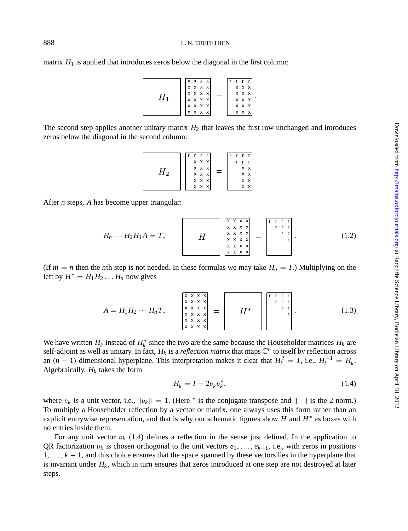<span id="page-1-0"></span>matrix  $H_1$  is applied that introduces zeros below the diagonal in the first column:

| Н | X X X X<br>x x x x<br>X X X X<br>X X X X<br>$x \times x \times x$ | $=$ |  | x x x<br>x x x<br>x x x<br>x x x |  |
|---|-------------------------------------------------------------------|-----|--|----------------------------------|--|
|   | $x \times x \times x$                                             |     |  | x x x                            |  |

The second step applies another unitary matrix  $H_2$  that leaves the first row unchanged and introduces zeros below the diagonal in the second column:

$$
H_2 \qquad \begin{array}{c} \begin{matrix} r & r & r & r \\ x & x & x \\ x & x & x \\ x & x & x \\ x & x & x \\ x & x & x \end{matrix} \end{array} = \begin{matrix} \begin{matrix} r & r & r & r \\ r & r & r \\ x & x & x \\ x & x & x \\ x & x & x \end{matrix} \end{matrix}.
$$

After *n* steps, *A* has become upper triangular:

$$
H_n \cdots H_2 H_1 A = T, \qquad H \qquad \begin{array}{c} \begin{array}{c} \begin{array}{c} \begin{array}{c} \begin{array}{c} \begin{array}{c} \begin{array}{c} \begin{array}{c} \begin{array}{c} \begin{array}{c} \begin{array}{c} \begin{array}{c} \end{array} \\ \begin{array}{c} \end{array} \\ \begin{array}{c} \end{array} \\ \begin{array}{c} \end{array} \\ \begin{array}{c} \end{array} \\ \begin{array}{c} \end{array} \\ \begin{array}{c} \end{array} \\ \begin{array}{c} \end{array} \\ \begin{array}{c} \end{array} \\ \begin{array}{c} \end{array} \\ \begin{array}{c} \end{array} \\ \begin{array}{c} \end{array} \\ \begin{array}{c} \end{array} \\ \begin{array}{c} \end{array} \\ \begin{array}{c} \end{array} \\ \begin{array}{c} \end{array} \\ \begin{array}{c} \end{array} \\ \begin{array}{c} \end{array} \\ \begin{array}{c} \end{array} \\ \begin{array}{c} \end{array} \\ \begin{array}{c} \end{array} \\ \begin{array}{c} \end{array} \\ \begin{array}{c} \end{array} \\ \begin{array}{c} \end{array} \\ \begin{array}{c} \end{array} \end{array} \end{array} \end{array} \end{array} \qquad (1.2)
$$

(If  $m = n$  then the *n*th step is not needed. In these formulas we may take  $H_n = I$ .) Multiplying on the left by  $H^* = H_1 H_2 \dots H_n$  now gives

*A* = *H*1*H*<sup>2</sup> ∙ ∙ ∙ *HnT*, x x x x x x x x x x x x x x x x x x x x x x x x r r r r r r r r r <sup>r</sup> . (1.3)

We have written  $H_k$  instead of  $H_k^*$  since the two are the same because the Householder matrices  $H_k$  are self-adjoint as well as unitary. In fact,  $H_k$  is a *reflection matrix* that maps  $\mathbb{C}^n$  to itself by reflection across an  $(n - 1)$ -dimensional hyperplane. This interpretation makes it clear that  $H_k^2 = I$ , i.e.,  $H_k^{-1} = H_k$ . Algebraically,  $H_k$  takes the form

$$
H_k = I - 2v_k v_k^*,
$$
 (1.4)

where  $v_k$  is a unit vector, i.e.,  $\|v_k\| = 1$ . (Here <sup>∗</sup> is the conjugate transpose and  $\|\cdot\|$  is the 2 norm.) To multiply a Householder reflection by a vector or matrix, one always uses this form rather than an explicit entrywise representation, and that is why our schematic figures show *H* and  $H^*$  as boxes with no entries inside them.

For any unit vector  $v_k$  (1.4) defines a reflection in the sense just defined. In the application to QR factorization v*<sup>k</sup>* is chosen orthogonal to the unit vectors *e*1, . . . , *ek*−1, i.e., with zeros in positions 1, . . . , *k* − 1, and this choice ensures that the space spanned by these vectors lies in the hyperplane that is invariant under  $H_k$ , which in turn ensures that zeros introduced at one step are not destroyed at later steps.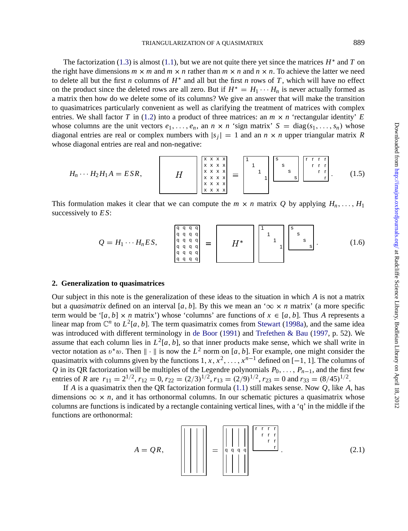<span id="page-2-0"></span>The factorization ([1.3](#page-1-0)) is almost [\(1.1](#page-0-0)), but we are not quite there yet since the matrices  $H^*$  and  $T$  on the right have dimensions  $m \times m$  and  $m \times n$  rather than  $m \times n$  and  $n \times n$ . To achieve the latter we need to delete all but the first *n* columns of *H*∗ and all but the first *n* rows of *T* , which will have no effect on the product since the deleted rows are all zero. But if  $H^* = H_1 \cdots H_n$  is never actually formed as a matrix then how do we delete some of its columns? We give an answer that will make the transition to quasimatrices particularly convenient as well as clarifying the treatment of matrices with complex entries. We shall factor *T* in [\(1.2\)](#page-1-0) into a product of three matrices: an  $m \times n$  'rectangular identity' *E* whose columns are the unit vectors  $e_1, \ldots, e_n$ , an  $n \times n$  'sign matrix'  $S = \text{diag}(s_1, \ldots, s_n)$  whose diagonal entries are real or complex numbers with  $|s_i| = 1$  and an  $n \times n$  upper triangular matrix *R* whose diagonal entries are real and non-negative:

*Hn* ∙ ∙ ∙ *H*2*H*1*A* = *ES R*, x x x x x x x x x x x x x x x x x x x x x x x x 1 1 1 1 s s s s r r r r r r r r r <sup>r</sup> . (1.5)

This formulation makes it clear that we can compute the  $m \times n$  matrix *Q* by applying  $H_n, \ldots, H_1$ successively to *E S*:

$$
Q = H_1 \cdots H_n ES, \qquad \begin{bmatrix} q & q & q & q \\ q & q & q & q \\ q & q & q & q \\ q & q & q & q \\ q & q & q & q \\ q & q & q & q \end{bmatrix} = \begin{bmatrix} 1 & 1 & 0 & 0 & 0 \\ 0 & 1 & 0 & 0 & 0 \\ 0 & 0 & 0 & 0 & 0 \\ 0 & 0 & 0 & 0 & 0 \\ 0 & 0 & 0 & 0 & 0 \end{bmatrix} \begin{bmatrix} 1 & 0 & 0 & 0 & 0 \\ 0 & 0 & q & q & q \\ 0 & 0 & 0 & q & q \\ 0 & 0 & 0 & 0 & 0 \\ 0 & 0 & 0 & 0 & 0 \end{bmatrix} = \begin{bmatrix} 1 & 0 & 0 & 0 & 0 \\ 0 & 0 & 0 & 0 & 0 & 0 \\ 0 & 0 & 0 & 0 & 0 & 0 \\ 0 & 0 & 0 & 0 & 0 & 0 \\ 0 & 0 & 0 & 0 & 0 & 0 \\ 0 & 0 & 0 & 0 & 0 & 0 \end{bmatrix} = \begin{bmatrix} 1 & 0 & 0 & 0 & 0 \\ 0 & 0 & 0 & 0 & 0 & 0 \\ 0 & 0 & 0 & 0 & 0 & 0 \\ 0 & 0 & 0 & 0 & 0 & 0 \\ 0 & 0 & 0 & 0 & 0 & 0 \\ 0 & 0 & 0 & 0 & 0 & 0 \\ 0 & 0 & 0 & 0 & 0 & 0 \\ 0 & 0 & 0 & 0 & 0 & 0 \\ 0 & 0 & 0 & 0 & 0 & 0 \\ 0 & 0 & 0 & 0 & 0 & 0 \\ 0 & 0 & 0 & 0 & 0 & 0 \\ 0 & 0 & 0 & 0 & 0 & 0 \\ 0 & 0 & 0 & 0 & 0 & 0 \\ 0 & 0 & 0 & 0 & 0 & 0 \\ 0 & 0 & 0 & 0 & 0 & 0 \\ 0 & 0 & 0 & 0 & 0 & 0 \\ 0 & 0 & 0 & 0 & 0 & 0 \\ 0 & 0 & 0 & 0 & 0 & 0 \\ 0 & 0 & 0 & 0 & 0 & 0 \\ 0 & 0 & 0 & 0 & 0 & 0 \\ 0 & 0 & 0 & 0 & 0 & 0 \\ 0 & 0 & 0 & 0 & 0 & 0 \\
$$

### **2. Generalization to quasimatrices**

Our subject in this note is the generalization of these ideas to the situation in which *A* is not a matrix but a *quasimatrix* defined on an interval [a, b]. By this we mean an ' $\infty \times n$  matrix' (a more specific term would be '[ $a, b$ ] ×  $n$  matrix') whose 'columns' are functions of  $x \in [a, b]$ . Thus  $A$  represents a linear map from  $\mathbb{C}^n$  to  $L^2[a, b]$ . The term quasimatrix comes from [Stewart](#page-10-0) [\(1998a\)](#page-10-0), and the same idea was introduced with different terminology in [de Boor](#page-10-0) [\(1991](#page-10-0)) and [Trefethen & Bau](#page-10-0) [\(1997](#page-10-0), p. 52). We assume that each column lies in  $L^2[a, b]$ , so that inner products make sense, which we shall write in vector notation as  $v^*w$ . Then  $\|\cdot\|$  is now the  $L^2$  norm on [*a*, *b*]. For example, one might consider the quasimatrix with columns given by the functions  $1, x, x^2, \ldots, x^{n-1}$  defined on [−1, 1]. The columns of *Q* in its QR factorization will be multiples of the Legendre polynomials  $P_0, \ldots, P_{n-1}$ , and the first few entries of *R* are  $r_{11} = 2^{1/2}$ ,  $r_{12} = 0$ ,  $r_{22} = (2/3)^{1/2}$ ,  $r_{13} = (2/9)^{1/2}$ ,  $r_{23} = 0$  and  $r_{33} = (8/45)^{1/2}$ .

If *A* is a quasimatrix then the QR factorization formula ([1.1](#page-0-0)) still makes sense. Now *Q*, like *A*, has dimensions  $\infty \times n$ , and it has orthonormal columns. In our schematic pictures a quasimatrix whose columns are functions is indicated by a rectangle containing vertical lines, with a 'q' in the middle if the functions are orthonormal:

*A* = *Q R*, <sup>q</sup> <sup>q</sup> <sup>q</sup> <sup>q</sup> r r r r r r r r r <sup>r</sup> . (2.1)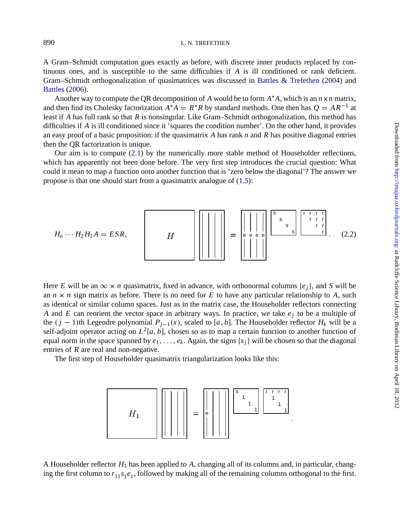#### <span id="page-3-0"></span>890 L. N. TREFETHEN

A Gram–Schmidt computation goes exactly as before, with discrete inner products replaced by continuous ones, and is susceptible to the same difficulties if *A* is ill conditioned or rank deficient. Gram–Schmidt orthogonalization of quasimatrices was discussed in [Battles & Trefethen](#page-10-0) ([2004](#page-10-0)) and [Battles](#page-10-0) [\(2006](#page-10-0)).

Another way to compute the QR decomposition of *A* would be to form *A*∗*A*, which is an *n*×*n* matrix, and then find its Cholesky factorization  $A^*A = R^*R$  by standard methods. One then has  $Q = AR^{-1}$  at least if *A* has full rank so that *R* is nonsingular. Like Gram–Schmidt orthogonalization, this method has difficulties if *A* is ill conditioned since it 'squares the condition number'. On the other hand, it provides an easy proof of a basic proposition: if the quasimatrix *A* has rank *n* and *R* has positive diagonal entries then the QR factorization is unique.

Our aim is to compute ([2.1](#page-2-0)) by the numerically more stable method of Householder reflections, which has apparently not been done before. The very first step introduces the crucial question: What could it mean to map a function onto another function that is 'zero below the diagonal'? The answer we propose is that one should start from a quasimatrix analogue of ([1.5](#page-2-0)):



Here *E* will be an  $\infty \times n$  quasimatrix, fixed in advance, with orthonormal columns {*e<sub>i</sub>*}, and *S* will be an  $n \times n$  sign matrix as before. There is no need for *E* to have any particular relationship to *A*, such as identical or similar column spaces. Just as in the matrix case, the Householder reflectors connecting *A* and *E* can reorient the vector space in arbitrary ways. In practice, we take  $e_i$  to be a multiple of the  $(j - 1)$ th Legendre polynomial  $P_{j-1}(x)$ , scaled to [*a*, *b*]. The Householder reflector  $H_k$  will be a self-adjoint operator acting on  $L^2[a, b]$ , chosen so as to map a certain function to another function of equal norm in the space spanned by  $e_1, \ldots, e_k$ . Again, the signs  $\{s_i\}$  will be chosen so that the diagonal entries of *R* are real and non-negative.

The first step of Householder quasimatrix triangularization looks like this:



A Householder reflector  $H_1$  has been applied to A, changing all of its columns and, in particular, changing the first column to  $r_{11} s_1 e_1$ , followed by making all of the remaining columns orthogonal to the first.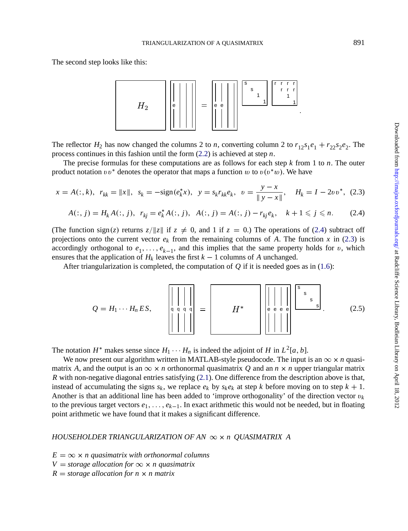The second step looks like this:



The reflector  $H_2$  has now changed the columns 2 to *n*, converting column 2 to  $r_{12}s_1e_1 + r_{22}s_2e_2$ . The process continues in this fashion until the form ([2.2](#page-3-0)) is achieved at step *n*.

The precise formulas for these computations are as follows for each step *k* from 1 to *n*. The outer product notation  $vv^*$  denotes the operator that maps a function w to  $v(v^*w)$ . We have

$$
x = A(:,k), \ r_{kk} = ||x||, \ s_k = -\text{sign}(e_k^*x), \ y = s_k r_{kk} e_k, \ v = \frac{y - x}{||y - x||}, \ H_k = I - 2vv^*, \ (2.3)
$$

$$
A(:, j) = H_k A(:, j), \ r_{kj} = e_k^* A(:, j), \ A(:, j) = A(:, j) - r_{kj} e_k, \ k+1 \leq j \leq n. \tag{2.4}
$$

(The function sign(*z*) returns  $z/||z||$  if  $z \neq 0$ , and 1 if  $z = 0$ .) The operations of (2.4) subtract off projections onto the current vector  $e_k$  from the remaining columns of *A*. The function *x* in (2.3) is accordingly orthogonal to  $e_1, \ldots, e_{k-1}$ , and this implies that the same property holds for v, which ensures that the application of  $H_k$  leaves the first  $k - 1$  columns of  $A$  unchanged.

After triangularization is completed, the computation of *Q* if it is needed goes as in ([1.6](#page-2-0)):



The notation *H*<sup>∗</sup> makes sense since  $H_1 \cdots H_n$  is indeed the adjoint of *H* in  $L^2[a, b]$ .

We now present our algorithm written in MATLAB-style pseudocode. The input is an  $\infty \times n$  quasimatrix *A*, and the output is an  $\infty \times n$  orthonormal quasimatrix *Q* and an  $n \times n$  upper triangular matrix *R* with non-negative diagonal entries satisfying ([2.1](#page-2-0)). One difference from the description above is that, instead of accumulating the signs  $s_k$ , we replace  $e_k$  by  $s_k e_k$  at step *k* before moving on to step  $k + 1$ . Another is that an additional line has been added to 'improve orthogonality' of the direction vector  $v_k$ to the previous target vectors *e*1, . . . , *ek*−1. In exact arithmetic this would not be needed, but in floating point arithmetic we have found that it makes a significant difference.

### *HOUSEHOLDER TRIANGULARIZATION OF AN* ∞ × *n QUASIMATRIX A*

 $E = \infty \times n$  quasimatrix with orthonormal columns

 $V =$  *storage allocation for*  $\infty \times n$  *quasimatrix* 

 $R =$  *storage allocation for n*  $\times$  *n matrix*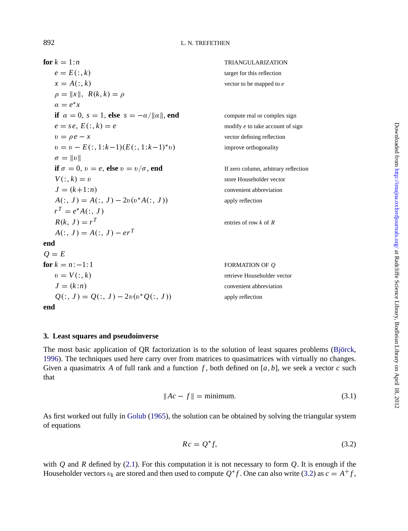# 892 L. N. TREFETHEN

**for**  $k = 1:n$ <br>  $e = E(:,k)$ <br> **for**  $k = 1:n$ <br> **for**  $k = 1:n$ <br> **for**  $k$  is reflection target for this reflection  $x = A(:,k)$  vector to be mapped to *e*  $\rho = ||x||$ ,  $R(k, k) = \rho$  $\alpha = e^*x$ **if**  $\alpha = 0$ ,  $s = 1$ , **else**  $s = -\alpha / ||\alpha||$ , **end** compute real or complex sign  $e = s e$ ,  $E(:, k) = e$  modify *e* to take account of sign  $v = \rho e - x$  vector defining reflection  $v = v - E(:, 1:k-1)(E(:, 1:k-1)*v)$  improve orthogonality  $\sigma = ||v||$ **if**  $\sigma = 0$ ,  $v = e$ , **else**  $v = v/\sigma$ , **end** If zero column, arbitrary reflection  $V(:, k) = v$  store Householder vector  $J = (k+1:n)$  convenient abbreviation  $A(:, J) = A(:, J) - 2v(v^*A(:, J))$  apply reflection  $r^T = e^* A(:, J)$  $R(k, J) = r^T$  entries of row *k* of *R*  $A(:, J) = A(:, J) - e r^{T}$ **end**  $Q = E$ <br>**for**  $k = n:-1:1$  $k = n:-1:1$  FORMATION OF *Q*<br>  $v = V(:,k)$  retrieve Householder retrieve Householder vector  $J = (k:n)$  convenient abbreviation  $Q(:, J) = Q(:, J) - 2v(v^*Q(:, J))$  apply reflection **end**

## **3. Least squares and pseudoinverse**

The most basic application of QR factorization is to the solution of least squares problems (Björck, [1996\)](#page-10-0). The techniques used here carry over from matrices to quasimatrices with virtually no changes. Given a quasimatrix A of full rank and a function  $f$ , both defined on  $[a, b]$ , we seek a vector  $c$  such that

$$
||Ac - f|| = \text{minimum.} \tag{3.1}
$$

As first worked out fully in [Golub](#page-10-0) ([1965\)](#page-10-0), the solution can be obtained by solving the triangular system of equations

$$
Rc = Q^*f,\tag{3.2}
$$

with *Q* and *R* defined by [\(2.1\)](#page-2-0). For this computation it is not necessary to form *Q*. It is enough if the Householder vectors  $v_k$  are stored and then used to compute  $Q^*f$ . One can also write (3.2) as  $c = A^+f$ ,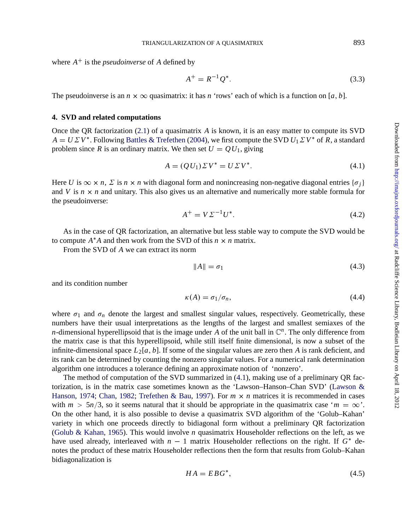Downloaded from http://imajna.oxfordjournals.org/ at Radcliffe Science Library, Bodleian Library on April 18, 2012 Downloaded from <http://imajna.oxfordjournals.org/> at Radcliffe Science Library, Bodleian Library on April 18, 2012

where  $A^+$  is the *pseudoinverse* of A defined by

$$
A^{+} = R^{-1} Q^{*}.
$$
 (3.3)

The pseudoinverse is an  $n \times \infty$  quasimatrix: it has *n* 'rows' each of which is a function on [a, b].

# **4. SVD and related computations**

Once the QR factorization [\(2.1\)](#page-2-0) of a quasimatrix *A* is known, it is an easy matter to compute its SVD  $A = U \Sigma V^*$ . Following [Battles & Trefethen](#page-10-0) [\(2004](#page-10-0)), we first compute the SVD  $U_1 \Sigma V^*$  of *R*, a standard problem since *R* is an ordinary matrix. We then set  $U = QU_1$ , giving

$$
A = (QU1) \Sigma V^* = U \Sigma V^*.
$$
\n
$$
(4.1)
$$

Here *U* is  $\infty \times n$ ,  $\sum$  is  $n \times n$  with diagonal form and nonincreasing non-negative diagonal entries { $\sigma$ *j*} and *V* is  $n \times n$  and unitary. This also gives us an alternative and numerically more stable formula for the pseudoinverse:

$$
A^{+} = V \Sigma^{-1} U^{*}.
$$
 (4.2)

As in the case of QR factorization, an alternative but less stable way to compute the SVD would be to compute  $A^*A$  and then work from the SVD of this  $n \times n$  matrix.

From the SVD of *A* we can extract its norm

$$
||A|| = \sigma_1 \tag{4.3}
$$

and its condition number

$$
\kappa(A) = \sigma_1/\sigma_n,\tag{4.4}
$$

where  $\sigma_1$  and  $\sigma_n$  denote the largest and smallest singular values, respectively. Geometrically, these numbers have their usual interpretations as the lengths of the largest and smallest semiaxes of the *n*-dimensional hyperellipsoid that is the image under *A* of the unit ball in  $\mathbb{C}^n$ . The only difference from the matrix case is that this hyperellipsoid, while still itself finite dimensional, is now a subset of the infinite-dimensional space  $L_2[a, b]$ . If some of the singular values are zero then *A* is rank deficient, and its rank can be determined by counting the nonzero singular values. For a numerical rank determination algorithm one introduces a tolerance defining an approximate notion of 'nonzero'.

The method of computation of the SVD summarized in (4.1), making use of a preliminary QR factorization, is in the matrix case sometimes known as the 'Lawson–Hanson–Chan SVD' [\(Lawson &](#page-10-0) [Hanson,](#page-10-0) [1974](#page-10-0); [Chan](#page-10-0), [1982;](#page-10-0) [Trefethen & Bau](#page-10-0), [1997\)](#page-10-0). For  $m \times n$  matrices it is recommended in cases with  $m > 5n/3$ , so it seems natural that it should be appropriate in the quasimatrix case ' $m = \infty$ '. On the other hand, it is also possible to devise a quasimatrix SVD algorithm of the 'Golub–Kahan' variety in which one proceeds directly to bidiagonal form without a preliminary QR factorization [\(Golub & Kahan](#page-10-0), [1965\)](#page-10-0). This would involve *n* quasimatrix Householder reflections on the left, as we have used already, interleaved with *n* − 1 matrix Householder reflections on the right. If *G*<sup>∗</sup> denotes the product of these matrix Householder reflections then the form that results from Golub–Kahan bidiagonalization is

$$
HA = EBG^*,\tag{4.5}
$$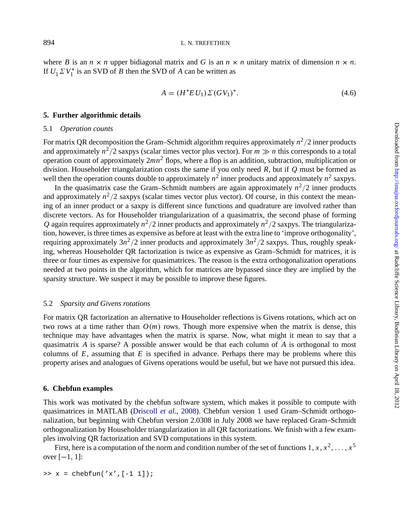where *B* is an  $n \times n$  upper bidiagonal matrix and *G* is an  $n \times n$  unitary matrix of dimension  $n \times n$ . If  $U_1 \Sigma V_1^*$  is an SVD of *B* then the SVD of *A* can be written as

$$
A = (H^*EU_1) \Sigma (GV_1)^*.
$$
\n(4.6)

#### **5. Further algorithmic details**

#### 5.1 *Operation counts*

For matrix OR decomposition the Gram–Schmidt algorithm requires approximately  $n^2/2$  inner products and approximately  $n^2/2$  saxpys (scalar times vector plus vector). For  $m \gg n$  this corresponds to a total operation count of approximately  $2mn^2$  flops, where a flop is an addition, subtraction, multiplication or division. Householder triangularization costs the same if you only need *R*, but if *Q* must be formed as well then the operation counts double to approximately  $n^2$  inner products and approximately  $n^2$  saxpys.

In the quasimatrix case the Gram–Schmidt numbers are again approximately  $n^2/2$  inner products and approximately  $n^2/2$  saxpys (scalar times vector plus vector). Of course, in this context the meaning of an inner product or a saxpy is different since functions and quadrature are involved rather than discrete vectors. As for Householder triangularization of a quasimatrix, the second phase of forming *Q* again requires approximately  $n^2/2$  inner products and approximately  $n^2/2$  saxpys. The triangularization, however, is three times as expensive as before at least with the extra line to 'improve orthogonality', requiring approximately  $3n^2/2$  inner products and approximately  $3n^2/2$  saxpys. Thus, roughly speaking, whereas Householder QR factorization is twice as expensive as Gram–Schmidt for matrices, it is three or four times as expensive for quasimatrices. The reason is the extra orthogonalization operations needed at two points in the algorithm, which for matrices are bypassed since they are implied by the sparsity structure. We suspect it may be possible to improve these figures.

#### 5.2 *Sparsity and Givens rotations*

For matrix QR factorization an alternative to Householder reflections is Givens rotations, which act on two rows at a time rather than  $O(m)$  rows. Though more expensive when the matrix is dense, this technique may have advantages when the matrix is sparse. Now, what might it mean to say that a quasimatrix *A* is sparse? A possible answer would be that each column of *A* is orthogonal to most columns of  $E$ , assuming that  $E$  is specified in advance. Perhaps there may be problems where this property arises and analogues of Givens operations would be useful, but we have not pursued this idea.

### **6. Chebfun examples**

This work was motivated by the chebfun software system, which makes it possible to compute with quasimatrices in MATLAB ([Driscoll](#page-10-0) *et al.*, [2008\)](#page-10-0). Chebfun version 1 used Gram–Schmidt orthogonalization, but beginning with Chebfun version 2.0308 in July 2008 we have replaced Gram–Schmidt orthogonalization by Householder triangularization in all QR factorizations. We finish with a few examples involving QR factorization and SVD computations in this system.

First, here is a computation of the norm and condition number of the set of functions  $1, x, x^2, \ldots, x^5$ over  $[-1, 1]$ :

 $\Rightarrow$  x = chebfun('x',[-1 1]);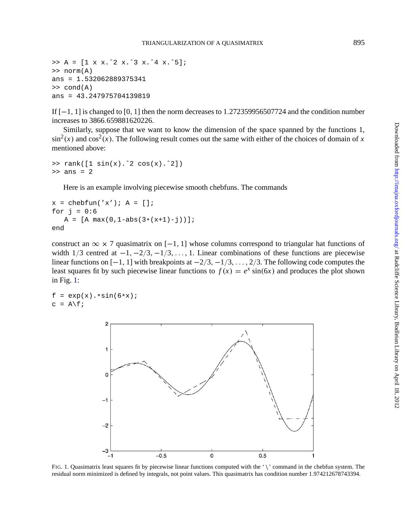$\Rightarrow$  A = [1 x x.^2 x.^3 x.^4 x.^5]; >> norm(A) ans = 1.532062889375341 >> cond(A) ans = 43.247975704139819

If [−1, 1] is changed to [0, 1] then the norm decreases to 1.272359956507724 and the condition number increases to 3866.659881620226.

Similarly, suppose that we want to know the dimension of the space spanned by the functions 1,  $\sin^2(x)$  and  $\cos^2(x)$ . The following result comes out the same with either of the choices of domain of *x* mentioned above:

```
>> rank([1 sin(x).ˆ2 cos(x).ˆ2])
>> ans = 2
```
Here is an example involving piecewise smooth chebfuns. The commands

```
x = \text{chebfun}(x'); A = [];
for j = 0:6A = [A max(0, 1-abs(3*(x+1)-j))];
end
```
construct an  $\infty \times 7$  quasimatrix on [−1, 1] whose columns correspond to triangular hat functions of width  $1/3$  centred at  $-1, -2/3, -1/3, \ldots, 1$ . Linear combinations of these functions are piecewise linear functions on  $[-1, 1]$  with breakpoints at  $-2/3, -1/3, \ldots, 2/3$ . The following code computes the least squares fit by such piecewise linear functions to  $f(x) = e^x \sin(6x)$  and produces the plot shown in Fig. 1:

```
f = exp(x) . *sin(6*x);c = A \ f;
```


FIG. 1. Quasimatrix least squares fit by piecewise linear functions computed with the '\' command in the chebfun system. The residual norm minimized is defined by integrals, not point values. This quasimatrix has condition number 1.974212678743394.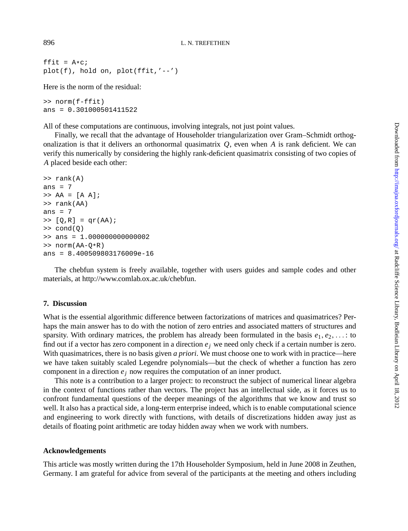ffit =  $A*C$ ; plot(f), hold on, plot(ffit,'--')

Here is the norm of the residual:

>> norm(f-ffit) ans = 0.301000501411522

All of these computations are continuous, involving integrals, not just point values.

Finally, we recall that the advantage of Householder triangularization over Gram–Schmidt orthogonalization is that it delivers an orthonormal quasimatrix *Q*, even when *A* is rank deficient. We can verify this numerically by considering the highly rank-deficient quasimatrix consisting of two copies of *A* placed beside each other:

```
>> rank(A)
ans = 7\Rightarrow \ \mathsf{AA} = [\mathsf{A} \ \mathsf{A}];>> rank(AA)
ans = 7\Rightarrow [Q,R] = qr(AA);
\Rightarrow cond(Q)
>> ans = 1.000000000000002
>> norm(AA-Q*R)
ans = 8.400509803176009e-16
```
The chebfun system is freely available, together with users guides and sample codes and other materials, at http://www.comlab.ox.ac.uk/chebfun.

### **7. Discussion**

What is the essential algorithmic difference between factorizations of matrices and quasimatrices? Perhaps the main answer has to do with the notion of zero entries and associated matters of structures and sparsity. With ordinary matrices, the problem has already been formulated in the basis  $e_1, e_2, \ldots$  to find out if a vector has zero component in a direction  $e_i$  we need only check if a certain number is zero. With quasimatrices, there is no basis given *a priori*. We must choose one to work with in practice—here we have taken suitably scaled Legendre polynomials—but the check of whether a function has zero component in a direction  $e_j$  now requires the computation of an inner product.

This note is a contribution to a larger project: to reconstruct the subject of numerical linear algebra in the context of functions rather than vectors. The project has an intellectual side, as it forces us to confront fundamental questions of the deeper meanings of the algorithms that we know and trust so well. It also has a practical side, a long-term enterprise indeed, which is to enable computational science and engineering to work directly with functions, with details of discretizations hidden away just as details of floating point arithmetic are today hidden away when we work with numbers.

#### **Acknowledgements**

This article was mostly written during the 17th Householder Symposium, held in June 2008 in Zeuthen, Germany. I am grateful for advice from several of the participants at the meeting and others including